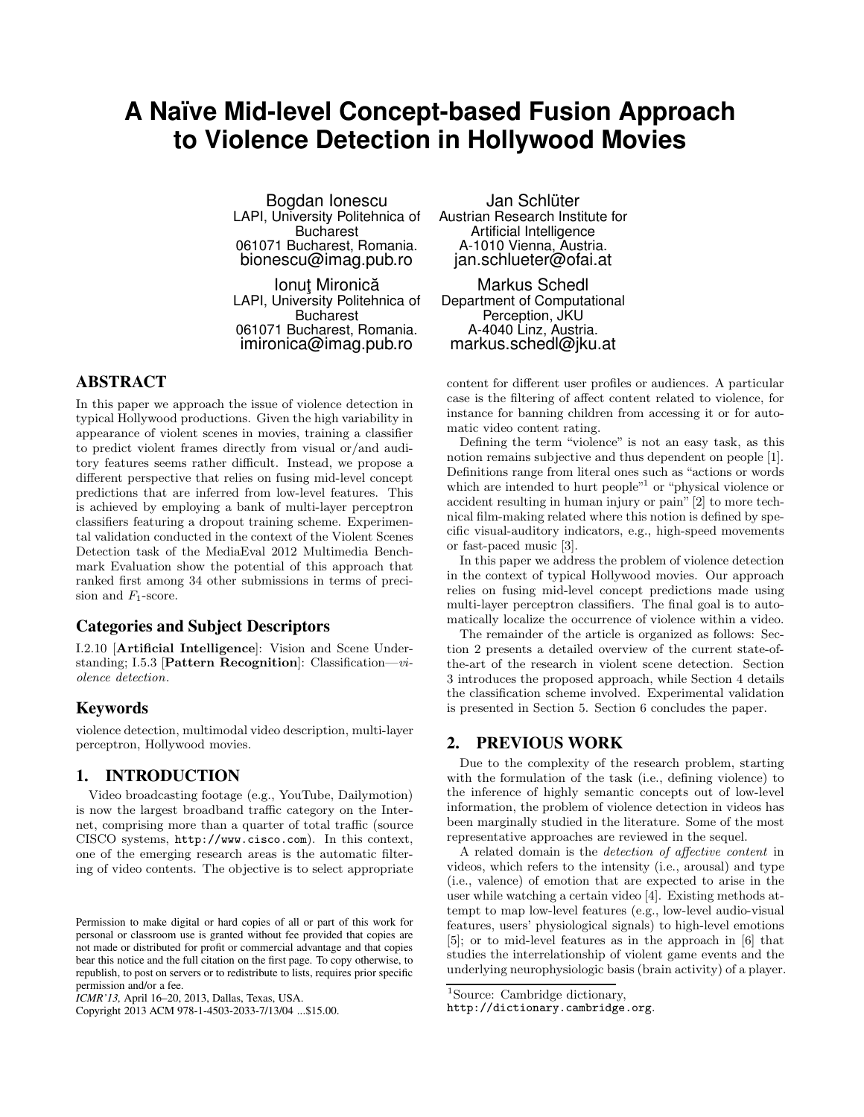# **A Naïve Mid-level Concept-based Fusion Approach to Violence Detection in Hollywood Movies**

Bogdan Ionescu LAPI, University Politehnica of **Bucharest** 061071 Bucharest, Romania. bionescu@imag.pub.ro

Ionut Mironică LAPI, University Politehnica of Bucharest 061071 Bucharest, Romania. imironica@imag.pub.ro

# **ABSTRACT**

In this paper we approach the issue of violence detection in typical Hollywood productions. Given the high variability in appearance of violent scenes in movies, training a classifier to predict violent frames directly from visual or/and auditory features seems rather difficult. Instead, we propose a different perspective that relies on fusing mid-level concept predictions that are inferred from low-level features. This is achieved by employing a bank of multi-layer perceptron classifiers featuring a dropout training scheme. Experimental validation conducted in the context of the Violent Scenes Detection task of the MediaEval 2012 Multimedia Benchmark Evaluation show the potential of this approach that ranked first among 34 other submissions in terms of precision and  $F_1$ -score.

# **Categories and Subject Descriptors**

I.2.10 [Artificial Intelligence]: Vision and Scene Understanding; I.5.3 [Pattern Recognition]: Classification—violence detection.

## **Keywords**

violence detection, multimodal video description, multi-layer perceptron, Hollywood movies.

## **1. INTRODUCTION**

Video broadcasting footage (e.g., YouTube, Dailymotion) is now the largest broadband traffic category on the Internet, comprising more than a quarter of total traffic (source CISCO systems, http://www.cisco.com). In this context, one of the emerging research areas is the automatic filtering of video contents. The objective is to select appropriate

Copyright 2013 ACM 978-1-4503-2033-7/13/04 ...\$15.00.

Jan Schlüter Austrian Research Institute for Artificial Intelligence A-1010 Vienna, Austria. jan.schlueter@ofai.at

Markus Schedl Department of Computational Perception, JKU A-4040 Linz, Austria. markus.schedl@jku.at

content for different user profiles or audiences. A particular case is the filtering of affect content related to violence, for instance for banning children from accessing it or for automatic video content rating.

Defining the term "violence" is not an easy task, as this notion remains subjective and thus dependent on people [1]. Definitions range from literal ones such as "actions or words which are intended to hurt people"<sup>1</sup> or "physical violence or accident resulting in human injury or pain" [2] to more technical film-making related where this notion is defined by specific visual-auditory indicators, e.g., high-speed movements or fast-paced music [3].

In this paper we address the problem of violence detection in the context of typical Hollywood movies. Our approach relies on fusing mid-level concept predictions made using multi-layer perceptron classifiers. The final goal is to automatically localize the occurrence of violence within a video.

The remainder of the article is organized as follows: Section 2 presents a detailed overview of the current state-ofthe-art of the research in violent scene detection. Section 3 introduces the proposed approach, while Section 4 details the classification scheme involved. Experimental validation is presented in Section 5. Section 6 concludes the paper.

## **2. PREVIOUS WORK**

Due to the complexity of the research problem, starting with the formulation of the task (i.e., defining violence) to the inference of highly semantic concepts out of low-level information, the problem of violence detection in videos has been marginally studied in the literature. Some of the most representative approaches are reviewed in the sequel.

A related domain is the detection of affective content in videos, which refers to the intensity (i.e., arousal) and type (i.e., valence) of emotion that are expected to arise in the user while watching a certain video [4]. Existing methods attempt to map low-level features (e.g., low-level audio-visual features, users' physiological signals) to high-level emotions [5]; or to mid-level features as in the approach in [6] that studies the interrelationship of violent game events and the underlying neurophysiologic basis (brain activity) of a player.

Permission to make digital or hard copies of all or part of this work for personal or classroom use is granted without fee provided that copies are not made or distributed for profit or commercial advantage and that copies bear this notice and the full citation on the first page. To copy otherwise, to republish, to post on servers or to redistribute to lists, requires prior specific permission and/or a fee.

*ICMR'13,* April 16–20, 2013, Dallas, Texas, USA.

<sup>&</sup>lt;sup>1</sup>Source: Cambridge dictionary,

http://dictionary.cambridge.org.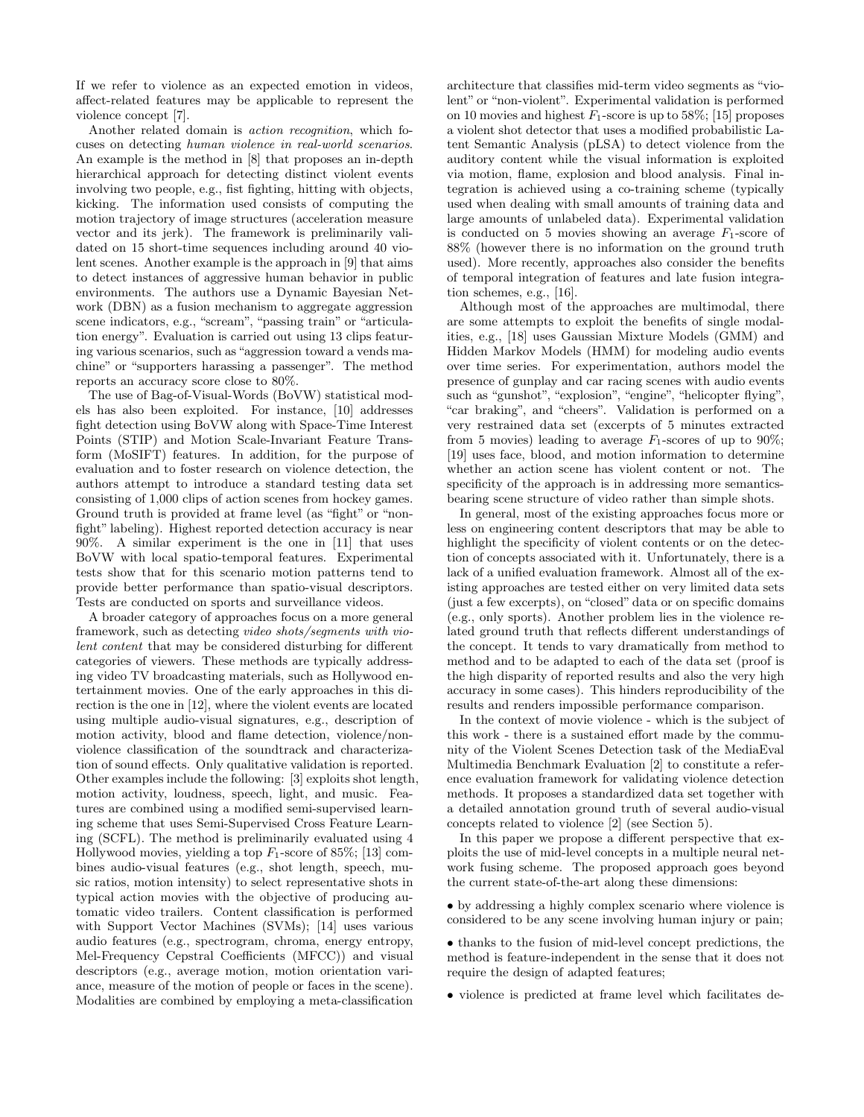If we refer to violence as an expected emotion in videos, affect-related features may be applicable to represent the violence concept [7].

Another related domain is action recognition, which focuses on detecting human violence in real-world scenarios. An example is the method in [8] that proposes an in-depth hierarchical approach for detecting distinct violent events involving two people, e.g., fist fighting, hitting with objects, kicking. The information used consists of computing the motion trajectory of image structures (acceleration measure vector and its jerk). The framework is preliminarily validated on 15 short-time sequences including around 40 violent scenes. Another example is the approach in [9] that aims to detect instances of aggressive human behavior in public environments. The authors use a Dynamic Bayesian Network (DBN) as a fusion mechanism to aggregate aggression scene indicators, e.g., "scream", "passing train" or "articulation energy". Evaluation is carried out using 13 clips featuring various scenarios, such as "aggression toward a vends machine" or "supporters harassing a passenger". The method reports an accuracy score close to 80%.

The use of Bag-of-Visual-Words (BoVW) statistical models has also been exploited. For instance, [10] addresses fight detection using BoVW along with Space-Time Interest Points (STIP) and Motion Scale-Invariant Feature Transform (MoSIFT) features. In addition, for the purpose of evaluation and to foster research on violence detection, the authors attempt to introduce a standard testing data set consisting of 1,000 clips of action scenes from hockey games. Ground truth is provided at frame level (as "fight" or "nonfight" labeling). Highest reported detection accuracy is near 90%. A similar experiment is the one in [11] that uses BoVW with local spatio-temporal features. Experimental tests show that for this scenario motion patterns tend to provide better performance than spatio-visual descriptors. Tests are conducted on sports and surveillance videos.

A broader category of approaches focus on a more general framework, such as detecting video shots/segments with violent content that may be considered disturbing for different categories of viewers. These methods are typically addressing video TV broadcasting materials, such as Hollywood entertainment movies. One of the early approaches in this direction is the one in [12], where the violent events are located using multiple audio-visual signatures, e.g., description of motion activity, blood and flame detection, violence/nonviolence classification of the soundtrack and characterization of sound effects. Only qualitative validation is reported. Other examples include the following: [3] exploits shot length, motion activity, loudness, speech, light, and music. Features are combined using a modified semi-supervised learning scheme that uses Semi-Supervised Cross Feature Learning (SCFL). The method is preliminarily evaluated using 4 Hollywood movies, yielding a top  $F_1$ -score of 85%; [13] combines audio-visual features (e.g., shot length, speech, music ratios, motion intensity) to select representative shots in typical action movies with the objective of producing automatic video trailers. Content classification is performed with Support Vector Machines (SVMs); [14] uses various audio features (e.g., spectrogram, chroma, energy entropy, Mel-Frequency Cepstral Coefficients (MFCC)) and visual descriptors (e.g., average motion, motion orientation variance, measure of the motion of people or faces in the scene). Modalities are combined by employing a meta-classification

architecture that classifies mid-term video segments as "violent" or "non-violent". Experimental validation is performed on 10 movies and highest  $F_1$ -score is up to 58%; [15] proposes a violent shot detector that uses a modified probabilistic Latent Semantic Analysis (pLSA) to detect violence from the auditory content while the visual information is exploited via motion, flame, explosion and blood analysis. Final integration is achieved using a co-training scheme (typically used when dealing with small amounts of training data and large amounts of unlabeled data). Experimental validation is conducted on 5 movies showing an average  $F_1$ -score of 88% (however there is no information on the ground truth used). More recently, approaches also consider the benefits of temporal integration of features and late fusion integration schemes, e.g., [16].

Although most of the approaches are multimodal, there are some attempts to exploit the benefits of single modalities, e.g., [18] uses Gaussian Mixture Models (GMM) and Hidden Markov Models (HMM) for modeling audio events over time series. For experimentation, authors model the presence of gunplay and car racing scenes with audio events such as "gunshot", "explosion", "engine", "helicopter flying", "car braking", and "cheers". Validation is performed on a very restrained data set (excerpts of 5 minutes extracted from 5 movies) leading to average  $F_1$ -scores of up to 90%; [19] uses face, blood, and motion information to determine whether an action scene has violent content or not. The specificity of the approach is in addressing more semanticsbearing scene structure of video rather than simple shots.

In general, most of the existing approaches focus more or less on engineering content descriptors that may be able to highlight the specificity of violent contents or on the detection of concepts associated with it. Unfortunately, there is a lack of a unified evaluation framework. Almost all of the existing approaches are tested either on very limited data sets (just a few excerpts), on "closed" data or on specific domains (e.g., only sports). Another problem lies in the violence related ground truth that reflects different understandings of the concept. It tends to vary dramatically from method to method and to be adapted to each of the data set (proof is the high disparity of reported results and also the very high accuracy in some cases). This hinders reproducibility of the results and renders impossible performance comparison.

In the context of movie violence - which is the subject of this work - there is a sustained effort made by the community of the Violent Scenes Detection task of the MediaEval Multimedia Benchmark Evaluation [2] to constitute a reference evaluation framework for validating violence detection methods. It proposes a standardized data set together with a detailed annotation ground truth of several audio-visual concepts related to violence [2] (see Section 5).

In this paper we propose a different perspective that exploits the use of mid-level concepts in a multiple neural network fusing scheme. The proposed approach goes beyond the current state-of-the-art along these dimensions:

• by addressing a highly complex scenario where violence is considered to be any scene involving human injury or pain;

- thanks to the fusion of mid-level concept predictions, the method is feature-independent in the sense that it does not require the design of adapted features;
- violence is predicted at frame level which facilitates de-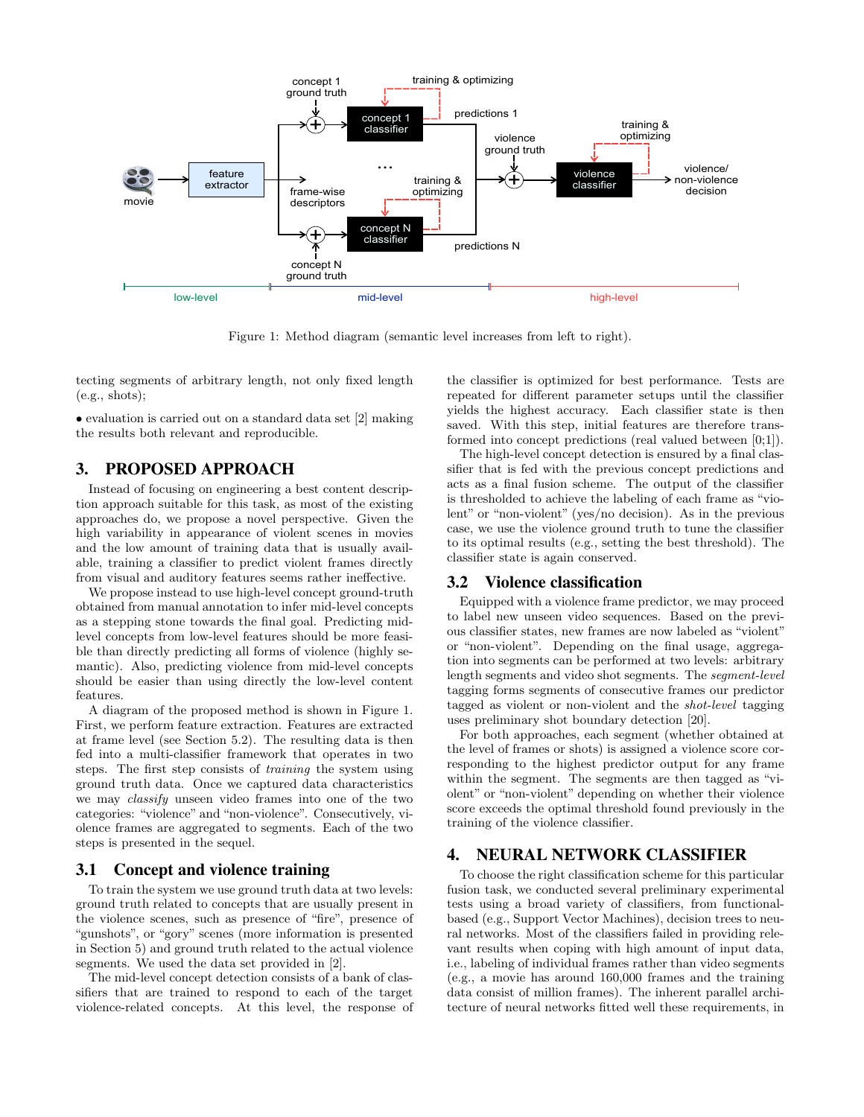

Figure 1: Method diagram (semantic level increases from left to right).

tecting segments of arbitrary length, not only fixed length (e.g., shots);

• evaluation is carried out on a standard data set [2] making the results both relevant and reproducible.

## **3. PROPOSED APPROACH**

Instead of focusing on engineering a best content description approach suitable for this task, as most of the existing approaches do, we propose a novel perspective. Given the high variability in appearance of violent scenes in movies and the low amount of training data that is usually available, training a classifier to predict violent frames directly from visual and auditory features seems rather ineffective.

We propose instead to use high-level concept ground-truth obtained from manual annotation to infer mid-level concepts as a stepping stone towards the final goal. Predicting midlevel concepts from low-level features should be more feasible than directly predicting all forms of violence (highly semantic). Also, predicting violence from mid-level concepts should be easier than using directly the low-level content features.

A diagram of the proposed method is shown in Figure 1. First, we perform feature extraction. Features are extracted at frame level (see Section 5.2). The resulting data is then fed into a multi-classifier framework that operates in two steps. The first step consists of training the system using ground truth data. Once we captured data characteristics we may classify unseen video frames into one of the two categories: "violence" and "non-violence". Consecutively, violence frames are aggregated to segments. Each of the two steps is presented in the sequel.

## **3.1 Concept and violence training**

To train the system we use ground truth data at two levels: ground truth related to concepts that are usually present in the violence scenes, such as presence of "fire", presence of "gunshots", or "gory" scenes (more information is presented in Section 5) and ground truth related to the actual violence segments. We used the data set provided in [2].

The mid-level concept detection consists of a bank of classifiers that are trained to respond to each of the target violence-related concepts. At this level, the response of the classifier is optimized for best performance. Tests are repeated for different parameter setups until the classifier yields the highest accuracy. Each classifier state is then saved. With this step, initial features are therefore transformed into concept predictions (real valued between [0;1]).

The high-level concept detection is ensured by a final classifier that is fed with the previous concept predictions and acts as a final fusion scheme. The output of the classifier is thresholded to achieve the labeling of each frame as "violent" or "non-violent" (yes/no decision). As in the previous case, we use the violence ground truth to tune the classifier to its optimal results (e.g., setting the best threshold). The classifier state is again conserved.

#### **3.2 Violence classification**

Equipped with a violence frame predictor, we may proceed to label new unseen video sequences. Based on the previous classifier states, new frames are now labeled as "violent" or "non-violent". Depending on the final usage, aggregation into segments can be performed at two levels: arbitrary length segments and video shot segments. The segment-level tagging forms segments of consecutive frames our predictor tagged as violent or non-violent and the shot-level tagging uses preliminary shot boundary detection [20].

For both approaches, each segment (whether obtained at the level of frames or shots) is assigned a violence score corresponding to the highest predictor output for any frame within the segment. The segments are then tagged as "violent" or "non-violent" depending on whether their violence score exceeds the optimal threshold found previously in the training of the violence classifier.

## **4. NEURAL NETWORK CLASSIFIER**

To choose the right classification scheme for this particular fusion task, we conducted several preliminary experimental tests using a broad variety of classifiers, from functionalbased (e.g., Support Vector Machines), decision trees to neural networks. Most of the classifiers failed in providing relevant results when coping with high amount of input data, i.e., labeling of individual frames rather than video segments (e.g., a movie has around 160,000 frames and the training data consist of million frames). The inherent parallel architecture of neural networks fitted well these requirements, in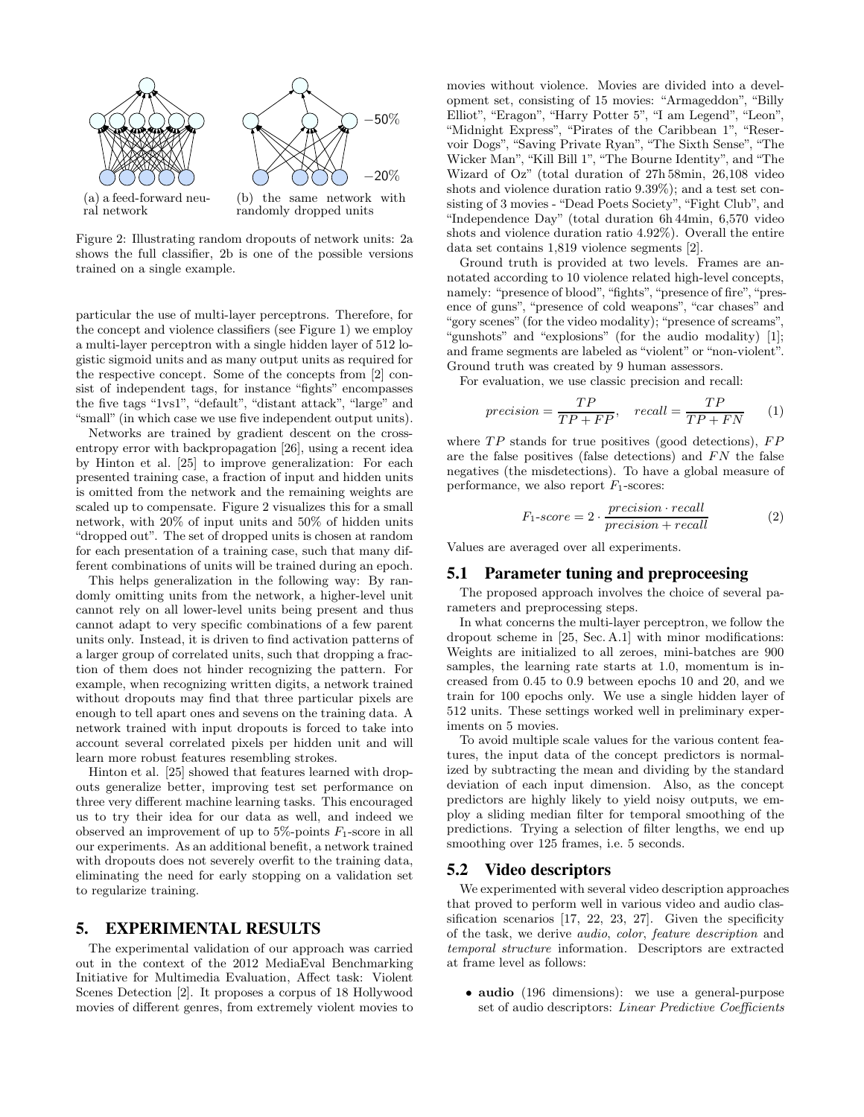

Figure 2: Illustrating random dropouts of network units: 2a shows the full classifier, 2b is one of the possible versions trained on a single example.

particular the use of multi-layer perceptrons. Therefore, for the concept and violence classifiers (see Figure 1) we employ a multi-layer perceptron with a single hidden layer of 512 logistic sigmoid units and as many output units as required for the respective concept. Some of the concepts from [2] consist of independent tags, for instance "fights" encompasses the five tags "1vs1", "default", "distant attack", "large" and "small" (in which case we use five independent output units).

Networks are trained by gradient descent on the crossentropy error with backpropagation [26], using a recent idea by Hinton et al. [25] to improve generalization: For each presented training case, a fraction of input and hidden units is omitted from the network and the remaining weights are scaled up to compensate. Figure 2 visualizes this for a small network, with 20% of input units and 50% of hidden units "dropped out". The set of dropped units is chosen at random for each presentation of a training case, such that many different combinations of units will be trained during an epoch.

This helps generalization in the following way: By randomly omitting units from the network, a higher-level unit cannot rely on all lower-level units being present and thus cannot adapt to very specific combinations of a few parent units only. Instead, it is driven to find activation patterns of a larger group of correlated units, such that dropping a fraction of them does not hinder recognizing the pattern. For example, when recognizing written digits, a network trained without dropouts may find that three particular pixels are enough to tell apart ones and sevens on the training data. A network trained with input dropouts is forced to take into account several correlated pixels per hidden unit and will learn more robust features resembling strokes.

Hinton et al. [25] showed that features learned with dropouts generalize better, improving test set performance on three very different machine learning tasks. This encouraged us to try their idea for our data as well, and indeed we observed an improvement of up to  $5\%$ -points  $F_1$ -score in all our experiments. As an additional benefit, a network trained with dropouts does not severely overfit to the training data, eliminating the need for early stopping on a validation set to regularize training.

#### **5. EXPERIMENTAL RESULTS**

The experimental validation of our approach was carried out in the context of the 2012 MediaEval Benchmarking Initiative for Multimedia Evaluation, Affect task: Violent Scenes Detection [2]. It proposes a corpus of 18 Hollywood movies of different genres, from extremely violent movies to

movies without violence. Movies are divided into a development set, consisting of 15 movies: "Armageddon", "Billy Elliot", "Eragon", "Harry Potter 5", "I am Legend", "Leon", "Midnight Express", "Pirates of the Caribbean 1", "Reservoir Dogs", "Saving Private Ryan", "The Sixth Sense", "The Wicker Man", "Kill Bill 1", "The Bourne Identity", and "The Wizard of Oz" (total duration of 27h 58min, 26,108 video shots and violence duration ratio 9.39%); and a test set consisting of 3 movies - "Dead Poets Society", "Fight Club", and "Independence Day" (total duration 6h 44min, 6,570 video shots and violence duration ratio 4.92%). Overall the entire data set contains 1,819 violence segments [2].

Ground truth is provided at two levels. Frames are annotated according to 10 violence related high-level concepts, namely: "presence of blood", "fights", "presence of fire", "presence of guns", "presence of cold weapons", "car chases" and "gory scenes" (for the video modality); "presence of screams", "gunshots" and "explosions" (for the audio modality) [1]; and frame segments are labeled as "violent" or "non-violent". Ground truth was created by 9 human assessors.

For evaluation, we use classic precision and recall:

$$
precision = \frac{TP}{TP + FP}, \quad recall = \frac{TP}{TP + FN} \tag{1}
$$

where  $TP$  stands for true positives (good detections),  $FP$ are the false positives (false detections) and  $FN$  the false negatives (the misdetections). To have a global measure of performance, we also report  $F_1$ -scores:

$$
F_1\text{-}score = 2 \cdot \frac{precision \cdot recall}{precision + recall}
$$
 (2)

Values are averaged over all experiments.

#### **5.1 Parameter tuning and preproceesing**

The proposed approach involves the choice of several parameters and preprocessing steps.

In what concerns the multi-layer perceptron, we follow the dropout scheme in [25, Sec. A.1] with minor modifications: Weights are initialized to all zeroes, mini-batches are 900 samples, the learning rate starts at 1.0, momentum is increased from 0.45 to 0.9 between epochs 10 and 20, and we train for 100 epochs only. We use a single hidden layer of 512 units. These settings worked well in preliminary experiments on 5 movies.

To avoid multiple scale values for the various content features, the input data of the concept predictors is normalized by subtracting the mean and dividing by the standard deviation of each input dimension. Also, as the concept predictors are highly likely to yield noisy outputs, we employ a sliding median filter for temporal smoothing of the predictions. Trying a selection of filter lengths, we end up smoothing over 125 frames, i.e. 5 seconds.

## **5.2 Video descriptors**

We experimented with several video description approaches that proved to perform well in various video and audio classification scenarios [17, 22, 23, 27]. Given the specificity of the task, we derive audio, color, feature description and temporal structure information. Descriptors are extracted at frame level as follows:

• audio (196 dimensions): we use a general-purpose set of audio descriptors: Linear Predictive Coefficients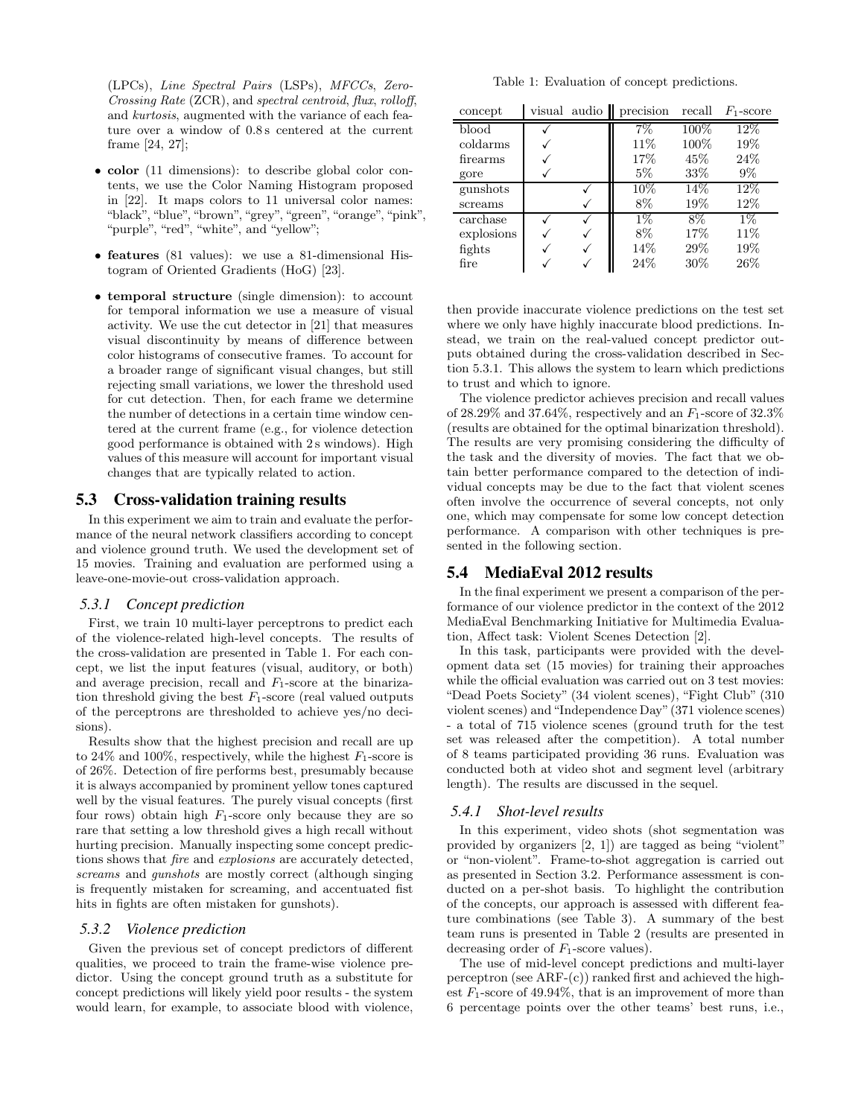(LPCs), Line Spectral Pairs (LSPs), MFCCs, Zero-Crossing Rate (ZCR), and spectral centroid, flux, rolloff, and kurtosis, augmented with the variance of each feature over a window of 0.8 s centered at the current frame [24, 27];

- color (11 dimensions): to describe global color contents, we use the Color Naming Histogram proposed in [22]. It maps colors to 11 universal color names: "black", "blue", "brown", "grey", "green", "orange", "pink", "purple", "red", "white", and "yellow";
- features (81 values): we use a 81-dimensional Histogram of Oriented Gradients (HoG) [23].
- temporal structure (single dimension): to account for temporal information we use a measure of visual activity. We use the cut detector in [21] that measures visual discontinuity by means of difference between color histograms of consecutive frames. To account for a broader range of significant visual changes, but still rejecting small variations, we lower the threshold used for cut detection. Then, for each frame we determine the number of detections in a certain time window centered at the current frame (e.g., for violence detection good performance is obtained with 2 s windows). High values of this measure will account for important visual changes that are typically related to action.

## **5.3 Cross-validation training results**

In this experiment we aim to train and evaluate the performance of the neural network classifiers according to concept and violence ground truth. We used the development set of 15 movies. Training and evaluation are performed using a leave-one-movie-out cross-validation approach.

#### *5.3.1 Concept prediction*

First, we train 10 multi-layer perceptrons to predict each of the violence-related high-level concepts. The results of the cross-validation are presented in Table 1. For each concept, we list the input features (visual, auditory, or both) and average precision, recall and  $F_1$ -score at the binarization threshold giving the best  $F_1$ -score (real valued outputs of the perceptrons are thresholded to achieve yes/no decisions).

Results show that the highest precision and recall are up to 24\% and 100\%, respectively, while the highest  $F_1$ -score is of 26%. Detection of fire performs best, presumably because it is always accompanied by prominent yellow tones captured well by the visual features. The purely visual concepts (first four rows) obtain high  $F_1$ -score only because they are so rare that setting a low threshold gives a high recall without hurting precision. Manually inspecting some concept predictions shows that fire and explosions are accurately detected, screams and gunshots are mostly correct (although singing is frequently mistaken for screaming, and accentuated fist hits in fights are often mistaken for gunshots).

#### *5.3.2 Violence prediction*

Given the previous set of concept predictors of different qualities, we proceed to train the frame-wise violence predictor. Using the concept ground truth as a substitute for concept predictions will likely yield poor results - the system would learn, for example, to associate blood with violence,

Table 1: Evaluation of concept predictions.

| concept    | visual audio $\parallel$ | precision | recall | $F_1$ -score |
|------------|--------------------------|-----------|--------|--------------|
| blood      |                          | 7%        | 100%   | 12\%         |
| coldarms   |                          | 11%       | 100%   | 19%          |
| firearms   |                          | 17%       | 45\%   | 24%          |
| gore       |                          | $5\%$     | 33\%   | $9\%$        |
| gunshots   |                          | 10%       | 14\%   | 12%          |
| screams    |                          | 8%        | 19%    | 12%          |
| carchase   |                          | $1\%$     | $8\%$  | $1\%$        |
| explosions |                          | 8%        | 17%    | 11\%         |
| fights     |                          | 14%       | 29\%   | 19%          |
| fire       |                          | 24%       | 30%    | 26%          |

then provide inaccurate violence predictions on the test set where we only have highly inaccurate blood predictions. Instead, we train on the real-valued concept predictor outputs obtained during the cross-validation described in Section 5.3.1. This allows the system to learn which predictions to trust and which to ignore.

The violence predictor achieves precision and recall values of 28.29% and 37.64%, respectively and an  $F_1$ -score of 32.3% (results are obtained for the optimal binarization threshold). The results are very promising considering the difficulty of the task and the diversity of movies. The fact that we obtain better performance compared to the detection of individual concepts may be due to the fact that violent scenes often involve the occurrence of several concepts, not only one, which may compensate for some low concept detection performance. A comparison with other techniques is presented in the following section.

## **5.4 MediaEval 2012 results**

In the final experiment we present a comparison of the performance of our violence predictor in the context of the 2012 MediaEval Benchmarking Initiative for Multimedia Evaluation, Affect task: Violent Scenes Detection [2].

In this task, participants were provided with the development data set (15 movies) for training their approaches while the official evaluation was carried out on 3 test movies: "Dead Poets Society" (34 violent scenes), "Fight Club" (310 violent scenes) and "Independence Day"(371 violence scenes) - a total of 715 violence scenes (ground truth for the test set was released after the competition). A total number of 8 teams participated providing 36 runs. Evaluation was conducted both at video shot and segment level (arbitrary length). The results are discussed in the sequel.

#### *5.4.1 Shot-level results*

In this experiment, video shots (shot segmentation was provided by organizers [2, 1]) are tagged as being "violent" or "non-violent". Frame-to-shot aggregation is carried out as presented in Section 3.2. Performance assessment is conducted on a per-shot basis. To highlight the contribution of the concepts, our approach is assessed with different feature combinations (see Table 3). A summary of the best team runs is presented in Table 2 (results are presented in decreasing order of  $F_1$ -score values).

The use of mid-level concept predictions and multi-layer perceptron (see ARF-(c)) ranked first and achieved the highest  $F_1$ -score of 49.94%, that is an improvement of more than 6 percentage points over the other teams' best runs, i.e.,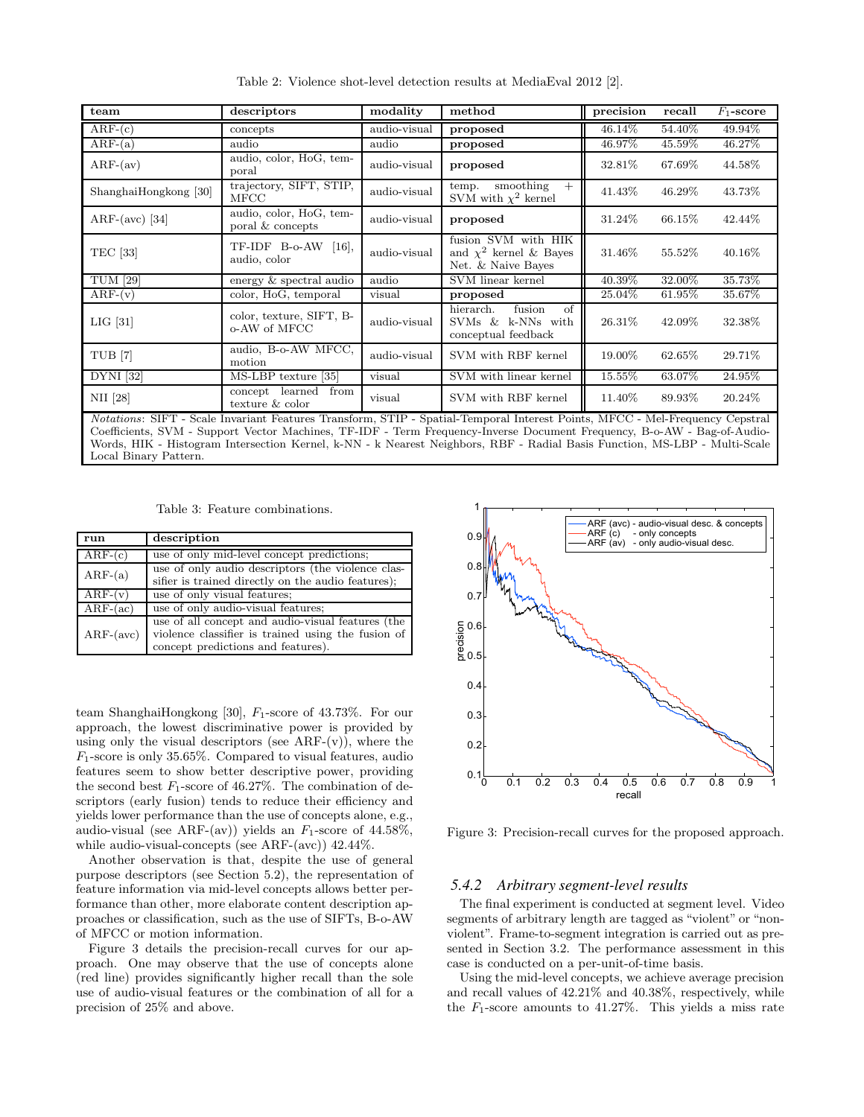| team                                                                                                                                                                                                                                                    | descriptors                                 | modality     | method                                                                   | precision | recall    | $F_1$ -score |
|---------------------------------------------------------------------------------------------------------------------------------------------------------------------------------------------------------------------------------------------------------|---------------------------------------------|--------------|--------------------------------------------------------------------------|-----------|-----------|--------------|
| $ARF-(c)$                                                                                                                                                                                                                                               | concepts                                    | audio-visual | proposed                                                                 | 46.14\%   | 54.40%    | 49.94%       |
| $ARF-(a)$                                                                                                                                                                                                                                               | audio                                       | audio        | proposed                                                                 | 46.97%    | 45.59%    | 46.27%       |
| $ARF-(av)$                                                                                                                                                                                                                                              | audio, color, HoG, tem-<br>poral            | audio-visual | proposed                                                                 | 32.81\%   | 67.69%    | 44.58%       |
| ShanghaiHongkong [30]                                                                                                                                                                                                                                   | trajectory, SIFT, STIP,<br>MFCC             | audio-visual | smoothing<br>temp.<br>$+$<br>SVM with $\chi^2$ kernel                    | 41.43%    | 46.29%    | 43.73%       |
| ARF-(avc) [34]                                                                                                                                                                                                                                          | audio, color, HoG, tem-<br>poral & concepts | audio-visual | proposed                                                                 | 31.24\%   | 66.15\%   | 42.44%       |
| <b>TEC</b> [33]                                                                                                                                                                                                                                         | TF-IDF B-o-AW<br>$[16]$ ,<br>audio, color   | audio-visual | fusion SVM with HIK<br>and $\chi^2$ kernel & Bayes<br>Net. & Naive Bayes | 31.46\%   | 55.52%    | 40.16\%      |
| <b>TUM [29]</b>                                                                                                                                                                                                                                         | energy & spectral audio                     | audio        | SVM linear kernel                                                        | 40.39%    | 32.00%    | 35.73%       |
| $ARF-(v)$                                                                                                                                                                                                                                               | color, HoG, temporal                        | visual       | proposed                                                                 | 25.04%    | $61.95\%$ | 35.67%       |
| $LIG$ [31]                                                                                                                                                                                                                                              | color, texture, SIFT, B-<br>o-AW of MFCC    | audio-visual | fusion<br>hierarch.<br>of<br>SVMs & k-NNs with<br>conceptual feedback    | 26.31\%   | 42.09%    | 32.38%       |
| TUB <sup>[7]</sup>                                                                                                                                                                                                                                      | audio, B-o-AW MFCC,<br>motion               | audio-visual | SVM with RBF kernel                                                      | 19.00%    | $62.65\%$ | 29.71\%      |
| <b>DYNI</b> [32]                                                                                                                                                                                                                                        | MS-LBP texture [35]                         | visual       | SVM with linear kernel                                                   | 15.55%    | 63.07%    | 24.95%       |
| NII [28]                                                                                                                                                                                                                                                | concept learned<br>from<br>texture & color  | visual       | SVM with RBF kernel                                                      | 11.40%    | 89.93%    | 20.24\%      |
| Notations: SIFT - Scale Invariant Features Transform, STIP - Spatial-Temporal Interest Points, MFCC - Mel-Frequency Cepstral<br>Coefficients, SVM - Support Vector Machines, TF-IDF - Term Frequency-Inverse Document Frequency, B-o-AW - Bag-of-Audio- |                                             |              |                                                                          |           |           |              |

Words, HIK - Histogram Intersection Kernel, k-NN - k Nearest Neighbors, RBF - Radial Basis Function, MS-LBP - Multi-Scale

Table 2: Violence shot-level detection results at MediaEval 2012 [2].

Table 3: Feature combinations.

Local Binary Pattern.

| run         | description                                                                                                                                   |
|-------------|-----------------------------------------------------------------------------------------------------------------------------------------------|
| $ARF-(c)$   | use of only mid-level concept predictions;                                                                                                    |
| $ARF-(a)$   | use of only audio descriptors (the violence clas-<br>sifier is trained directly on the audio features);                                       |
| $ARF-(v)$   | use of only visual features;                                                                                                                  |
| $ARF-(ac)$  | use of only audio-visual features;                                                                                                            |
| $ARF-(avc)$ | use of all concept and audio-visual features (the<br>violence classifier is trained using the fusion of<br>concept predictions and features). |

team ShanghaiHongkong [30],  $F_1$ -score of 43.73%. For our approach, the lowest discriminative power is provided by using only the visual descriptors (see  $ARF-(v)$ ), where the  $F_1$ -score is only 35.65%. Compared to visual features, audio features seem to show better descriptive power, providing the second best  $F_1$ -score of 46.27%. The combination of descriptors (early fusion) tends to reduce their efficiency and yields lower performance than the use of concepts alone, e.g., audio-visual (see ARF-(av)) yields an  $F_1$ -score of 44.58%, while audio-visual-concepts (see ARF-(avc)) 42.44%.

Another observation is that, despite the use of general purpose descriptors (see Section 5.2), the representation of feature information via mid-level concepts allows better performance than other, more elaborate content description approaches or classification, such as the use of SIFTs, B-o-AW of MFCC or motion information.

Figure 3 details the precision-recall curves for our approach. One may observe that the use of concepts alone (red line) provides significantly higher recall than the sole use of audio-visual features or the combination of all for a precision of 25% and above.



Figure 3: Precision-recall curves for the proposed approach.

#### *5.4.2 Arbitrary segment-level results*

The final experiment is conducted at segment level. Video segments of arbitrary length are tagged as "violent" or "nonviolent". Frame-to-segment integration is carried out as presented in Section 3.2. The performance assessment in this case is conducted on a per-unit-of-time basis.

Using the mid-level concepts, we achieve average precision and recall values of 42.21% and 40.38%, respectively, while the  $F_1$ -score amounts to 41.27%. This yields a miss rate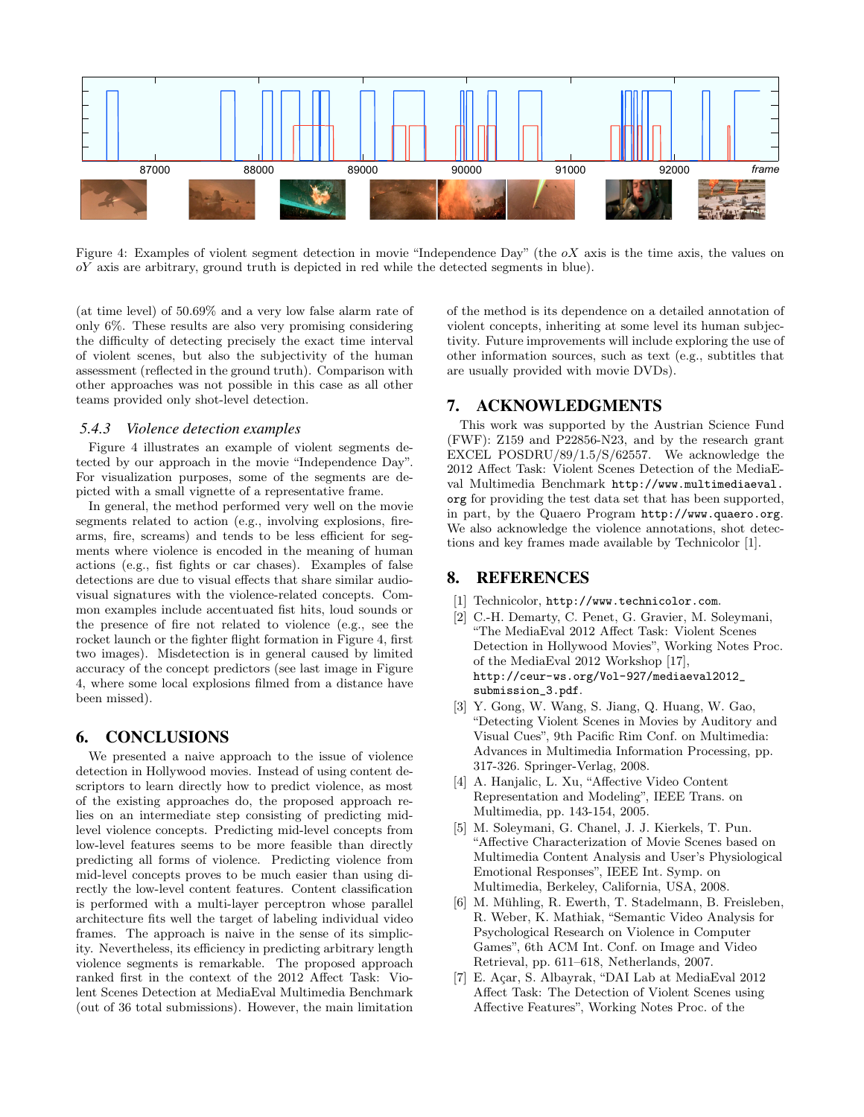

Figure 4: Examples of violent segment detection in movie "Independence Day" (the  $\alpha X$  axis is the time axis, the values on  $oY$  axis are arbitrary, ground truth is depicted in red while the detected segments in blue).

(at time level) of 50.69% and a very low false alarm rate of only 6%. These results are also very promising considering the difficulty of detecting precisely the exact time interval of violent scenes, but also the subjectivity of the human assessment (reflected in the ground truth). Comparison with other approaches was not possible in this case as all other teams provided only shot-level detection.

#### *5.4.3 Violence detection examples*

Figure 4 illustrates an example of violent segments detected by our approach in the movie "Independence Day". For visualization purposes, some of the segments are depicted with a small vignette of a representative frame.

In general, the method performed very well on the movie segments related to action (e.g., involving explosions, firearms, fire, screams) and tends to be less efficient for segments where violence is encoded in the meaning of human actions (e.g., fist fights or car chases). Examples of false detections are due to visual effects that share similar audiovisual signatures with the violence-related concepts. Common examples include accentuated fist hits, loud sounds or the presence of fire not related to violence (e.g., see the rocket launch or the fighter flight formation in Figure 4, first two images). Misdetection is in general caused by limited accuracy of the concept predictors (see last image in Figure 4, where some local explosions filmed from a distance have been missed).

#### **6. CONCLUSIONS**

We presented a naive approach to the issue of violence detection in Hollywood movies. Instead of using content descriptors to learn directly how to predict violence, as most of the existing approaches do, the proposed approach relies on an intermediate step consisting of predicting midlevel violence concepts. Predicting mid-level concepts from low-level features seems to be more feasible than directly predicting all forms of violence. Predicting violence from mid-level concepts proves to be much easier than using directly the low-level content features. Content classification is performed with a multi-layer perceptron whose parallel architecture fits well the target of labeling individual video frames. The approach is naive in the sense of its simplicity. Nevertheless, its efficiency in predicting arbitrary length violence segments is remarkable. The proposed approach ranked first in the context of the 2012 Affect Task: Violent Scenes Detection at MediaEval Multimedia Benchmark (out of 36 total submissions). However, the main limitation

of the method is its dependence on a detailed annotation of violent concepts, inheriting at some level its human subjectivity. Future improvements will include exploring the use of other information sources, such as text (e.g., subtitles that are usually provided with movie DVDs).

## **7. ACKNOWLEDGMENTS**

This work was supported by the Austrian Science Fund (FWF): Z159 and P22856-N23, and by the research grant EXCEL POSDRU/89/1.5/S/62557. We acknowledge the 2012 Affect Task: Violent Scenes Detection of the MediaEval Multimedia Benchmark http://www.multimediaeval. org for providing the test data set that has been supported, in part, by the Quaero Program http://www.quaero.org. We also acknowledge the violence annotations, shot detections and key frames made available by Technicolor [1].

# **8. REFERENCES**

- [1] Technicolor, http://www.technicolor.com.
- [2] C.-H. Demarty, C. Penet, G. Gravier, M. Soleymani, "The MediaEval 2012 Affect Task: Violent Scenes Detection in Hollywood Movies", Working Notes Proc. of the MediaEval 2012 Workshop [17], http://ceur-ws.org/Vol-927/mediaeval2012\_ submission\_3.pdf.
- [3] Y. Gong, W. Wang, S. Jiang, Q. Huang, W. Gao, "Detecting Violent Scenes in Movies by Auditory and Visual Cues", 9th Pacific Rim Conf. on Multimedia: Advances in Multimedia Information Processing, pp. 317-326. Springer-Verlag, 2008.
- [4] A. Hanjalic, L. Xu, "Affective Video Content Representation and Modeling", IEEE Trans. on Multimedia, pp. 143-154, 2005.
- [5] M. Soleymani, G. Chanel, J. J. Kierkels, T. Pun. "Affective Characterization of Movie Scenes based on Multimedia Content Analysis and User's Physiological Emotional Responses", IEEE Int. Symp. on Multimedia, Berkeley, California, USA, 2008.
- [6] M. Mühling, R. Ewerth, T. Stadelmann, B. Freisleben, R. Weber, K. Mathiak, "Semantic Video Analysis for Psychological Research on Violence in Computer Games", 6th ACM Int. Conf. on Image and Video Retrieval, pp. 611–618, Netherlands, 2007.
- [7] E. Açar, S. Albayrak, "DAI Lab at MediaEval 2012 Affect Task: The Detection of Violent Scenes using Affective Features", Working Notes Proc. of the